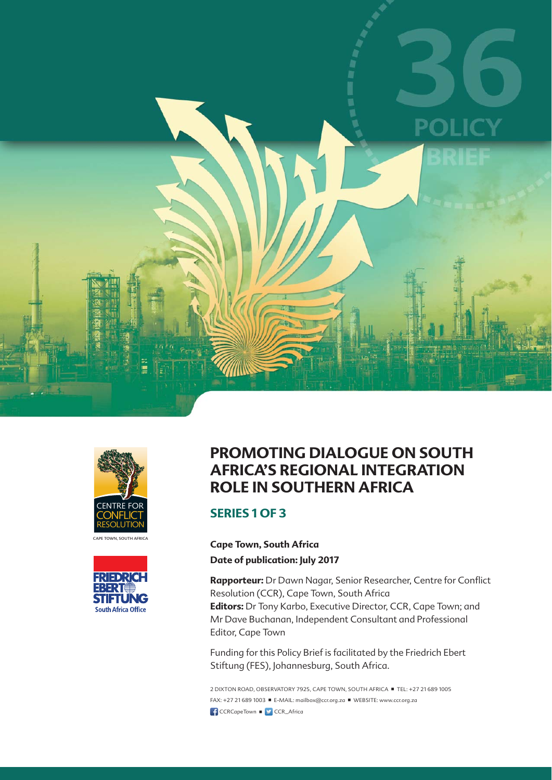





### **PROMOTING DIALOGUE ON SOUTH AFRICA'S REGIONAL INTEGRATION ROLE IN SOUTHERN AFRICA**

#### **SERIES 1 OF 3**

**Cape Town, South Africa**

**Date of publication: July 2017**

Rapporteur: Dr Dawn Nagar, Senior Researcher, Centre for Conflict Resolution (CCR), Cape Town, South Africa **Editors:** Dr Tony Karbo, Executive Director, CCR, Cape Town; and Mr Dave Buchanan, Independent Consultant and Professional Editor, Cape Town

Funding for this Policy Brief is facilitated by the Friedrich Ebert Stiftung (FES), Johannesburg, South Africa.

2 DIXTON ROAD, OBSERVATORY 7925, CAPE TOWN, SOUTH AFRICA TEL: +27 21 689 1005 FAX: +27 21 689 1003 ■ E-MAIL: mailbox@ccr.org.za ■ WEBSITE: www.ccr.org.za **f** CCRCapeTown **n**  $\bullet$  CCR\_Africa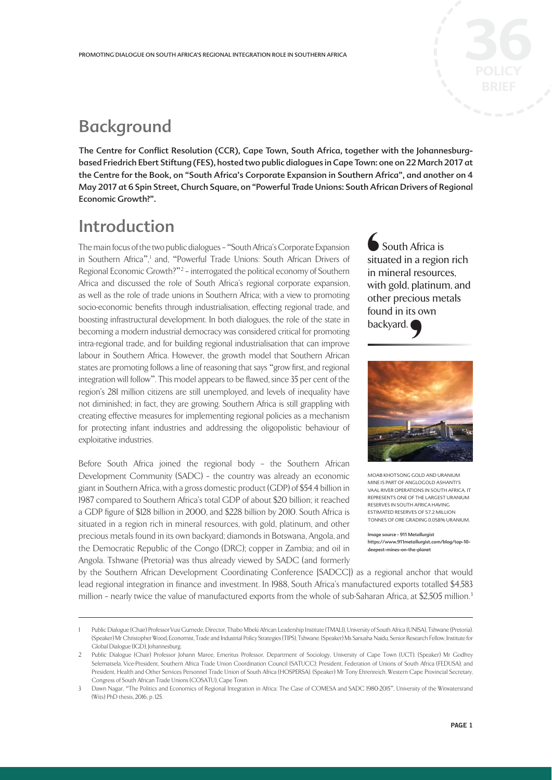# **Background**

The Centre for Conflict Resolution (CCR), Cape Town, South Africa, together with the Johannesburgbased Friedrich Ebert Stiftung (FES), hosted two public dialogues in Cape Town: one on 22 March 2017 at the Centre for the Book, on "South Africa's Corporate Expansion in Southern Africa", and another on 4 May 2017 at 6 Spin Street, Church Square, on "Powerful Trade Unions: South African Drivers of Regional Economic Growth?".

## Introduction

The main focus of the two public dialogues – "South Africa's Corporate Expansion in Southern Africa",<sup>1</sup> and, "Powerful Trade Unions: South African Drivers of Regional Economic Growth?"<sup>2</sup> – interrogated the political economy of Southern Africa and discussed the role of South Africa's regional corporate expansion, as well as the role of trade unions in Southern Africa; with a view to promoting socio-economic benefits through industrialisation, effecting regional trade, and boosting infrastructural development. In both dialogues, the role of the state in becoming a modern industrial democracy was considered critical for promoting intra-regional trade, and for building regional industrialisation that can improve labour in Southern Africa. However, the growth model that Southern African states are promoting follows a line of reasoning that says "grow first, and regional integration will follow". This model appears to be flawed, since 35 per cent of the region's 281 million citizens are still unemployed, and levels of inequality have not diminished; in fact, they are growing. Southern Africa is still grappling with creating effective measures for implementing regional policies as a mechanism for protecting infant industries and addressing the oligopolistic behaviour of exploitative industries.

Before South Africa joined the regional body – the Southern African Development Community (SADC) – the country was already an economic giant in Southern Africa, with a gross domestic product (GDP) of \$54.4 billion in 1987 compared to Southern Africa's total GDP of about \$20 billion; it reached a GDP figure of \$128 billion in 2000, and \$228 billion by 2010. South Africa is situated in a region rich in mineral resources, with gold, platinum, and other precious metals found in its own backyard; diamonds in Botswana, Angola, and the Democratic Republic of the Congo (DRC); copper in Zambia; and oil in Angola. Tshwane (Pretoria) was thus already viewed by SADC (and formerly

**€**<br>situ<br>in r witl<br>oth<br>fou<br>bac South Africa is situated in a region rich in mineral resources, with gold, platinum, and other precious metals found in its own



MOAB KHOTSONG GOLD AND URANIUM MINE IS PART OF ANGLOGOLD ASHANTI'S VAAL RIVER OPERATIONS IN SOUTH AFRICA. IT REPRESENTS ONE OF THE LARGEST URANIUM RESERVES IN SOUTH AFRICA HAVING ESTIMATED RESERVES OF 57.2 MILLION TONNES OF ORE GRADING 0.058% URANIUM.

Image source - 911 Metallurgist https://www.911metallurgist.com/blog/top-10 deepest-mines-on-the-planet

by the Southern African Development Coordinating Conference [SADCC]) as a regional anchor that would lead regional integration in finance and investment. In 1988, South Africa's manufactured exports totalled \$4,583 million – nearly twice the value of manufactured exports from the whole of sub-Saharan Africa, at \$2,505 million.<sup>3</sup>

<sup>1</sup> Public Dialogue (Chair) Professor Vusi Gumede, Director, Thabo Mbeki African Leadership Institute (TMALI), University of South Africa (UNISA), Tshwane (Pretoria). (Speaker) Mr Christopher Wood, Economist, Trade and Industrial Policy Strategies (TIPS), Tshwane. (Speaker) Ms Sanusha Naidu, Senior Research Fellow, Institute for Global Dialogue (IGD), Johannesburg.

<sup>2</sup> Public Dialogue (Chair) Professor Johann Maree, Emeritus Professor, Department of Sociology, University of Cape Town (UCT). (Speaker) Mr Godfrey Selematsela, Vice-President, Southern Africa Trade Union Coordination Council (SATUCC); President, Federation of Unions of South Africa (FEDUSA); and President, Health and Other Services Personnel Trade Union of South Africa (HOSPERSA). (Speaker) Mr Tony Ehrenreich, Western Cape Provincial Secretary, Congress of South African Trade Unions (COSATU), Cape Town.

<sup>3</sup> Dawn Nagar, "The Politics and Economics of Regional Integration in Africa: The Case of COMESA and SADC 1980-2015", University of the Witwatersrand (Wits) PhD thesis, 2016, p. 125.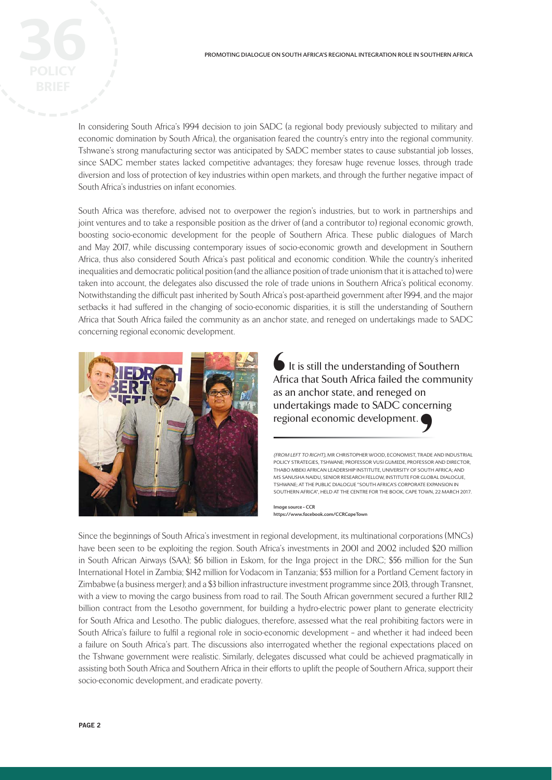In considering South Africa's 1994 decision to join SADC (a regional body previously subjected to military and economic domination by South Africa), the organisation feared the country's entry into the regional community. Tshwane's strong manufacturing sector was anticipated by SADC member states to cause substantial job losses, since SADC member states lacked competitive advantages; they foresaw huge revenue losses, through trade diversion and loss of protection of key industries within open markets, and through the further negative impact of South Africa's industries on infant economies.

South Africa was therefore, advised not to overpower the region's industries, but to work in partnerships and joint ventures and to take a responsible position as the driver of (and a contributor to) regional economic growth, boosting socio-economic development for the people of Southern Africa. These public dialogues of March and May 2017, while discussing contemporary issues of socio-economic growth and development in Southern Africa, thus also considered South Africa's past political and economic condition. While the country's inherited inequalities and democratic political position (and the alliance position of trade unionism that it is attached to) were taken into account, the delegates also discussed the role of trade unions in Southern Africa's political economy. Notwithstanding the difficult past inherited by South Africa's post-apartheid government after 1994, and the major setbacks it had suffered in the changing of socio-economic disparities, it is still the understanding of Southern Africa that South Africa failed the community as an anchor state, and reneged on undertakings made to SADC concerning regional economic development.



 $\blacksquare$  It is still the understanding of Southern Africa that South Africa failed the community as an anchor state, and reneged on undertakings made to SADC concerning regional economic development. Summer de la commerce de la commerce de la commerce de la commerce de la commerce de la commerce de la commerce de la commerce de la commerce de la commerce de la commerce de la commerce de la commerce de la commerce de la

(FROM LEFT TO RIGHT), MR CHRISTOPHER WOOD, ECONOMIST, TRADE AND INDUSTRIAL POLICY STRATEGIES, TSHWANE; PROFESSOR VUSI GUMEDE, PROFESSOR AND DIRECTOR, THABO MBEKI AFRICAN LEADERSHIP INSTITUTE, UNIVERSITY OF SOUTH AFRICA; AND MS SANUSHA NAIDU, SENIOR RESEARCH FELLOW, INSTITUTE FOR GLOBAL DIALOGUE, TSHWANE; AT THE PUBLIC DIALOGUE "SOUTH AFRICA'S CORPORATE EXPANSION IN SOUTHERN AFRICA", HELD AT THE CENTRE FOR THE BOOK, CAPE TOWN, 22 MARCH 2017. THE PRADE CONTRADE CONTRADE CONTRADE CONTRADE CONTRADE CONTRADE CONTRACT CONTRACT CONTRACT CONTRACT CONTRACT CONTRACT CONTRACT CONTRACT CONTRACT CONTRACT CONTRACT CONTRACT CONTRACT CONTRACT CONTRACT CONTRACT CONTRACT CONTR

Image source - CCR https://www.facebook.com/CCRCapeTown

Since the beginnings of South Africa's investment in regional development, its multinational corporations (MNCs) have been seen to be exploiting the region. South Africa's investments in 2001 and 2002 included \$20 million in South African Airways (SAA); \$6 billion in Eskom, for the Inga project in the DRC; \$56 million for the Sun International Hotel in Zambia; \$142 million for Vodacom in Tanzania; \$53 million for a Portland Cement factory in Zimbabwe (a business merger); and a \$3 billion infrastructure investment programme since 2013, through Transnet, with a view to moving the cargo business from road to rail. The South African government secured a further R11.2 billion contract from the Lesotho government, for building a hydro-electric power plant to generate electricity for South Africa and Lesotho. The public dialogues, therefore, assessed what the real prohibiting factors were in South Africa's failure to fulfil a regional role in socio-economic development – and whether it had indeed been a failure on South Africa's part. The discussions also interrogated whether the regional expectations placed on the Tshwane government were realistic. Similarly, delegates discussed what could be achieved pragmatically in assisting both South Africa and Southern Africa in their efforts to uplift the people of Southern Africa, support their socio-economic development, and eradicate poverty.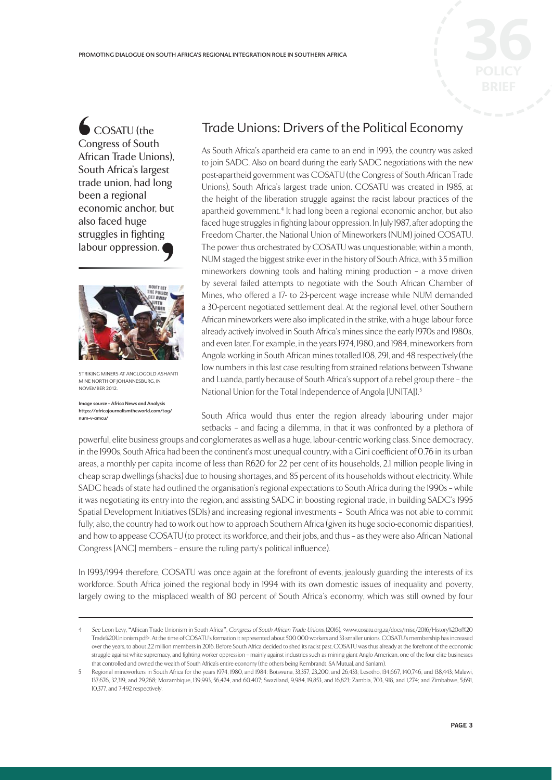

 COSATU (the Congress of South African Trade Unions), South Africa's largest trade union, had long been a regional economic anchor, but also faced huge struggles in fighting labour oppression. '



STRIKING MINERS AT ANGLOGOLD ASHANTI MINE NORTH OF JOHANNESBURG, IN NOVEMBER 2012.

Image source - Africa News and Analysis https://africajournalismtheworld.com/tag/ num-v-amcu/

#### Trade Unions: Drivers of the Political Economy

As South Africa's apartheid era came to an end in 1993, the country was asked to join SADC. Also on board during the early SADC negotiations with the new post-apartheid government was COSATU (the Congress of South African Trade Unions), South Africa's largest trade union. COSATU was created in 1985, at the height of the liberation struggle against the racist labour practices of the apartheid government.<sup>4</sup> It had long been a regional economic anchor, but also faced huge struggles in fighting labour oppression. In July 1987, after adopting the Freedom Charter, the National Union of Mineworkers (NUM) joined COSATU. The power thus orchestrated by COSATU was unquestionable; within a month, NUM staged the biggest strike ever in the history of South Africa, with 3.5 million mineworkers downing tools and halting mining production – a move driven by several failed attempts to negotiate with the South African Chamber of Mines, who offered a 17- to 23-percent wage increase while NUM demanded a 30-percent negotiated settlement deal. At the regional level, other Southern African mineworkers were also implicated in the strike, with a huge labour force already actively involved in South Africa's mines since the early 1970s and 1980s, and even later. For example, in the years 1974, 1980, and 1984, mineworkers from Angola working in South African mines totalled 108, 291, and 48 respectively (the low numbers in this last case resulting from strained relations between Tshwane and Luanda, partly because of South Africa's support of a rebel group there – the National Union for the Total Independence of Angola [UNITA]).5 i

South Africa would thus enter the region already labouring under major setbacks – and facing a dilemma, in that it was confronted by a plethora of

powerful, elite business groups and conglomerates as well as a huge, labour-centric working class. Since democracy, in the 1990s, South Africa had been the continent's most unequal country, with a Gini coefficient of 0.76 in its urban areas, a monthly per capita income of less than R620 for 22 per cent of its households, 2.1 million people living in cheap scrap dwellings (shacks) due to housing shortages, and 85 percent of its households without electricity. While SADC heads of state had outlined the organisation's regional expectations to South Africa during the 1990s – while it was negotiating its entry into the region, and assisting SADC in boosting regional trade, in building SADC's 1995 Spatial Development Initiatives (SDIs) and increasing regional investments – South Africa was not able to commit fully; also, the country had to work out how to approach Southern Africa (given its huge socio-economic disparities), and how to appease COSATU (to protect its workforce, and their jobs, and thus – as they were also African National Congress [ANC] members – ensure the ruling party's political influence).

In 1993/1994 therefore, COSATU was once again at the forefront of events, jealously guarding the interests of its workforce. South Africa joined the regional body in 1994 with its own domestic issues of inequality and poverty, largely owing to the misplaced wealth of 80 percent of South Africa's economy, which was still owned by four

<sup>4</sup> See Leon Levy, "African Trade Unionism in South Africa", Congress of South African Trade Unions, (2016), <www.cosatu.org.za/docs/misc/2016/History%20of%20 Trade%20Unionism.pdf>. At the time of COSATU's formation it represented about 500 000 workers and 33 smaller unions. COSATU's membership has increased over the years, to about 2.2 million members in 2016. Before South Africa decided to shed its racist past, COSATU was thus already at the forefront of the economic struggle against white supremacy, and fighting worker oppression – mainly against industries such as mining giant Anglo American, one of the four elite businesses that controlled and owned the wealth of South Africa's entire economy (the others being Rembrandt, SA Mutual, and Sanlam).

<sup>5</sup> Regional mineworkers in South Africa for the years 1974, 1980, and 1984: Botswana, 33,357, 23,200, and 26,433; Lesotho, 134,667, 140,746, and 138,443; Malawi, 137,676, 32,319, and 29,268; Mozambique, 139,993, 56,424, and 60,407; Swaziland, 9,984, 19,853, and 16,823; Zambia, 703, 918, and 1,274; and Zimbabwe, 5,691, 10,377, and 7,492 respectively.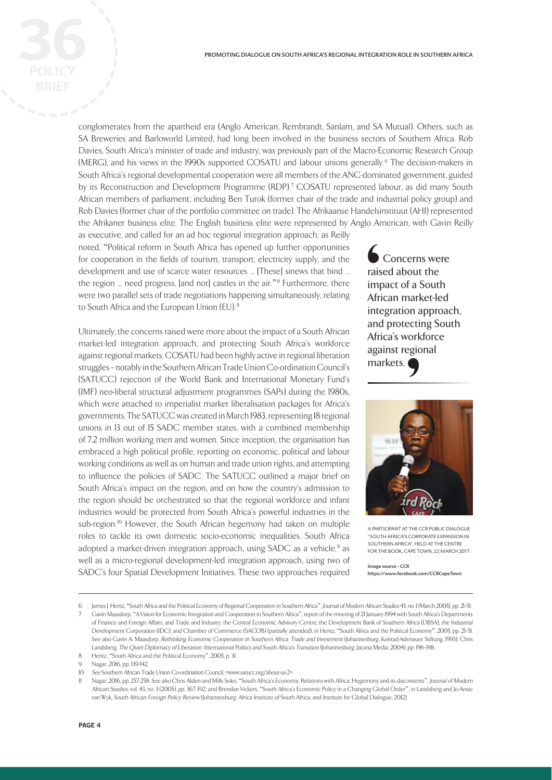conglomerates from the apartheid era (Anglo American, Rembrandt, Sanlam, and SA Mutual). Others, such as SA Breweries and Barloworld Limited, had long been involved in the business sectors of Southern Africa. Rob Davies, South Africa's minister of trade and industry, was previously part of the Macro-Economic Research Group (MERG), and his views in the 1990s supported COSATU and labour unions generally.<sup>6</sup> The decision-makers in South Africa's regional developmental cooperation were all members of the ANC-dominated government, guided by its Reconstruction and Development Programme (RDP).<sup>7</sup> COSATU represented labour, as did many South African members of parliament, including Ben Turok (former chair of the trade and industrial policy group) and Rob Davies (former chair of the portfolio committee on trade). The Afrikaanse Handelsinstituut (AHI) represented the Afrikaner business elite. The English business elite were represented by Anglo American, with Gavin Reilly

as executive, and called for an ad hoc regional integration approach; as Reilly noted, "Political reform in South Africa has opened up further opportunities for cooperation in the fields of tourism, transport, electricity supply, and the development and use of scarce water resources ... [These] sinews that bind ... the region ... need progress, [and not] castles in the air."<sup>8</sup> Furthermore, there were two parallel sets of trade negotiations happening simultaneously, relating to South Africa and the European Union (EU). <sup>9</sup>

Ultimately, the concerns raised were more about the impact of a South African market-led integration approach, and protecting South Africa's workforce against regional markets. COSATU had been highly active in regional liberation struggles – notably in the Southern African Trade Union Co-ordination Council's (SATUCC) rejection of the World Bank and International Monetary Fund's (IMF) neo-liberal structural adjustment programmes (SAPs) during the 1980s, which were attached to imperialist market liberalisation packages for Africa's governments. The SATUCC was created in March 1983, representing 18 regional unions in 13 out of 15 SADC member states, with a combined membership of 7.2 million working men and women. Since inception, the organisation has embraced a high political profile, reporting on economic, political and labour working conditions as well as on human and trade union rights, and attempting to influence the policies of SADC. The SATUCC outlined a major brief on South Africa's impact on the region, and on how the country's admission to the region should be orchestrated so that the regional workforce and infant industries would be protected from South Africa's powerful industries in the sub-region.<sup>10</sup> However, the South African hegemony had taken on multiple roles to tackle its own domestic socio-economic inequalities. South Africa adopted a market-driven integration approach, using SADC as a vehicle,<sup>"</sup> as well as a micro-regional development-led integration approach, using two of SADC's four Spatial Development Initiatives. These two approaches required

 Concerns were raised about the impact of a South African market-led integration approach, and protecting South Africa's workforce against regional markets. └──<br>
rais<br>
imp<br>
Afri<br>
inte<br>
anc<br>
Afri



A PARTICIPANT AT THE CCR PUBLIC DIALOGUE "SOUTH AFRICA'S CORPORATE EXPANSION IN SOUTHERN AFRICA", HELD AT THE CENTRE FOR THE BOOK, CAPE TOWN, 22 MARCH 2017.

Image source - CCR https://www.facebook.com/CCRCapeTown

<sup>6</sup> James J. Hentz, "South Africa and the Political Economy of Regional Cooperation in Southern Africa", Journal of Modern African Studies 43, no. 1 (March 2005), pp. 21-51.

<sup>7</sup> Gavin Maasdorp, "A Vision for Economic Integration and Cooperation in Southern Africa", report of the meeting of 21 January 1994 with South Africa's Departments of Finance and Foreign Affairs, and Trade and Industry; the Central Economic Advisory Centre; the Development Bank of Southern Africa (DBSA); the Industrial Development Corporation (IDC); and Chamber of Commerce (SACOB) (partially attended), in Hentz, "South Africa and the Political Economy", 2005, pp. 21–51. See also Gavin A. Maasdorp, Rethinking Economic Cooperation in Southern Africa: Trade and Investment (Johannesburg: Konrad-Adenauer Stiftung, 1993); Chris Landsberg, The Quiet Diplomacy of Liberation: International Politics and South Africa's Transition (Johannesburg: Jacana Media, 2004), pp. 196–198.

<sup>8</sup> Hentz, "South Africa and the Political Economy", 2005, p. 31.

Nagar, 2016, pp. 139-142.

<sup>10</sup> See Southern African Trade Union Co-ordination Council, <www.satucc.org/about-us-2>.

Nagar, 2016, pp. 257-258. See also Chris Alden and Mills Soko, "South Africa's Economic Relations with Africa: Hegemony and its discontents", Journal of Modern African Studies, vol. 43, no. 3 (2005), pp. 367-392; and Brendan Vickers, "South Africa's Economic Policy in a Changing Global Order", in Landsberg and Jo-Ansie van Wyk, South African Foreign Policy Review (Johannesburg: Africa Institute of South Africa, and Institute for Global Dialogue, 2012).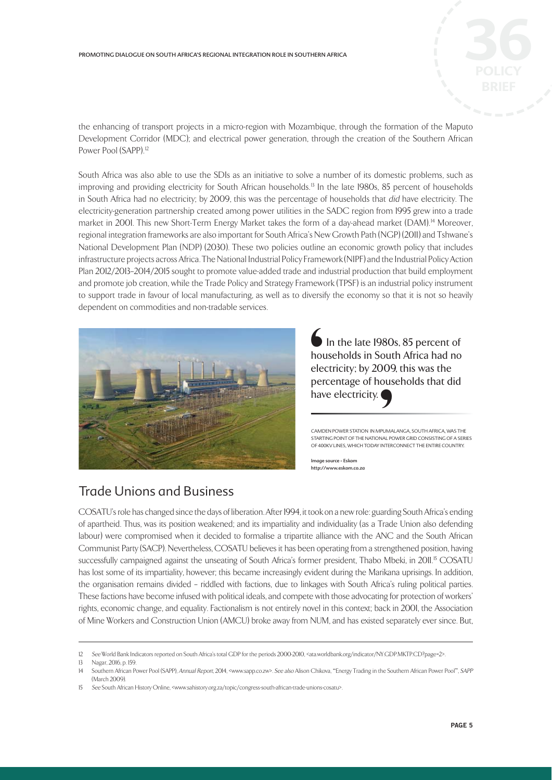

the enhancing of transport projects in a micro-region with Mozambique, through the formation of the Maputo Development Corridor (MDC); and electrical power generation, through the creation of the Southern African Power Pool (SAPP).<sup>12</sup>

South Africa was also able to use the SDIs as an initiative to solve a number of its domestic problems, such as improving and providing electricity for South African households.<sup>13</sup> In the late 1980s, 85 percent of households in South Africa had no electricity; by 2009, this was the percentage of households that did have electricity. The electricity-generation partnership created among power utilities in the SADC region from 1995 grew into a trade market in 2001. This new Short-Term Energy Market takes the form of a day-ahead market (DAM).<sup>14</sup> Moreover, regional integration frameworks are also important for South Africa's New Growth Path (NGP) (2011) and Tshwane's National Development Plan (NDP) (2030). These two policies outline an economic growth policy that includes infrastructure projects across Africa. The National Industrial Policy Framework (NIPF) and the Industrial Policy Action Plan 2012/2013–2014/2015 sought to promote value-added trade and industrial production that build employment and promote job creation, while the Trade Policy and Strategy Framework (TPSF) is an industrial policy instrument to support trade in favour of local manufacturing, as well as to diversify the economy so that it is not so heavily dependent on commodities and non-tradable services.



 In the late 1980s, 85 percent of households in South Africa had no electricity; by 2009, this was the percentage of households that did have electricity. Chou<br>
elee<br>
per<br>
hav PUMAL PC

CAMDEN POWER STATION IN MPUMALANGA, SOUTH AFRICA, WAS THE STARTING POINT OF THE NATIONAL POWER GRID CONSISTING OF A SERIES OF 400KV LINES, WHICH TODAY INTERCONNECT THE ENTIRE COUNTRY.

Image source - Eskom http://www.eskom.co.za

### Trade Unions and Business

COSATU's role has changed since the days of liberation. After 1994, it took on a new role: guarding South Africa's ending of apartheid. Thus, was its position weakened; and its impartiality and individuality (as a Trade Union also defending labour) were compromised when it decided to formalise a tripartite alliance with the ANC and the South African Communist Party (SACP). Nevertheless, COSATU believes it has been operating from a strengthened position, having successfully campaigned against the unseating of South Africa's former president, Thabo Mbeki, in 2011.<sup>15</sup> COSATU has lost some of its impartiality, however; this became increasingly evident during the Marikana uprisings. In addition, the organisation remains divided – riddled with factions, due to linkages with South Africa's ruling political parties. These factions have become infused with political ideals, and compete with those advocating for protection of workers' rights, economic change, and equality. Factionalism is not entirely novel in this context; back in 2001, the Association of Mine Workers and Construction Union (AMCU) broke away from NUM, and has existed separately ever since. But,

<sup>12</sup> See World Bank Indicators reported on South Africa's total GDP for the periods 2000-2010, <ata.worldbank.org/indicator/NY.GDP.MKTP.CD?page=2>.

<sup>13</sup> Nagar, 2016, p. 159.

<sup>14</sup> Southern African Power Pool (SAPP), Annual Report, 2014, <www.sapp.co.zw>. See also Alison Chikova, "Energy Trading in the Southern African Power Pool", SAPP (March 2009).

<sup>15</sup> See South African History Online, <www.sahistory.org.za/topic/congress-south-african-trade-unions-cosatu>.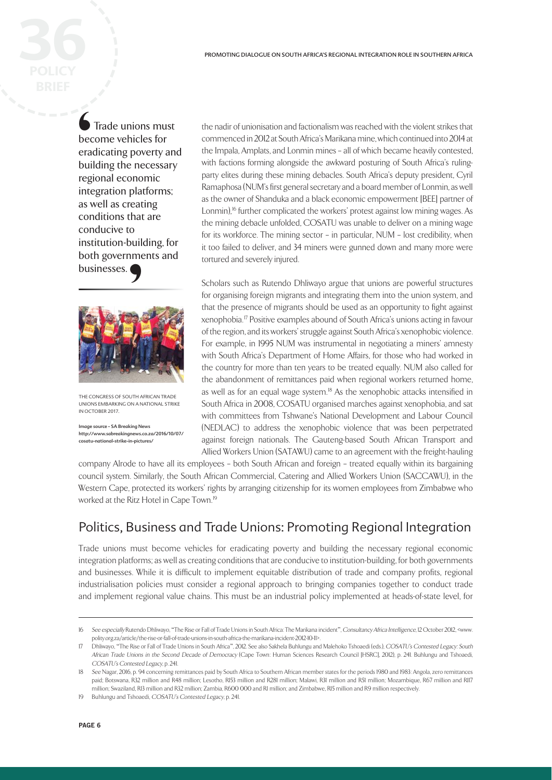Trade unions must become vehicles for eradicating poverty and building the necessary regional economic integration platforms; as well as creating conditions that are conducive to institution-building, for both governments and businesses. Contractor becomes but regiments as v



THE CONGRESS OF SOUTH AFRICAN TRADE UNIONS EMBARKING ON A NATIONAL STRIKE IN OCTOBER 2017.

iage source - SA Breaking News http://www.sabreakingnews.co.za/2016/10/07/ cosatu-national-strike-in-pictures/

the nadir of unionisation and factionalism was reached with the violent strikes that commenced in 2012 at South Africa's Marikana mine, which continued into 2014 at the Impala, Amplats, and Lonmin mines – all of which became heavily contested, with factions forming alongside the awkward posturing of South Africa's rulingparty elites during these mining debacles. South Africa's deputy president, Cyril Ramaphosa (NUM's first general secretary and a board member of Lonmin, as well as the owner of Shanduka and a black economic empowerment [BEE] partner of Lonmin),<sup>16</sup> further complicated the workers' protest against low mining wages. As the mining debacle unfolded, COSATU was unable to deliver on a mining wage for its workforce. The mining sector – in particular, NUM – lost credibility, when it too failed to deliver, and 34 miners were gunned down and many more were tortured and severely injured.

Scholars such as Rutendo Dhliwayo argue that unions are powerful structures for organising foreign migrants and integrating them into the union system, and that the presence of migrants should be used as an opportunity to fight against xenophobia. 17 Positive examples abound of South Africa's unions acting in favour of the region, and its workers' struggle against South Africa's xenophobic violence. For example, in 1995 NUM was instrumental in negotiating a miners' amnesty with South Africa's Department of Home Affairs, for those who had worked in the country for more than ten years to be treated equally. NUM also called for the abandonment of remittances paid when regional workers returned home, as well as for an equal wage system. 18 As the xenophobic attacks intensified in South Africa in 2008, COSATU organised marches against xenophobia, and sat with committees from Tshwane's National Development and Labour Council (NEDLAC) to address the xenophobic violence that was been perpetrated against foreign nationals. The Gauteng-based South African Transport and Allied Workers Union (SATAWU) came to an agreement with the freight-hauling

company Alrode to have all its employees – both South African and foreign – treated equally within its bargaining council system. Similarly, the South African Commercial, Catering and Allied Workers Union (SACCAWU), in the Western Cape, protected its workers' rights by arranging citizenship for its women employees from Zimbabwe who worked at the Ritz Hotel in Cape Town.<sup>19</sup>

### Politics, Business and Trade Unions: Promoting Regional Integration

Trade unions must become vehicles for eradicating poverty and building the necessary regional economic integration platforms; as well as creating conditions that are conducive to institution-building, for both governments and businesses. While it is difficult to implement equitable distribution of trade and company profits, regional industrialisation policies must consider a regional approach to bringing companies together to conduct trade and implement regional value chains. This must be an industrial policy implemented at heads-of-state level, for

<sup>16</sup> See especially Rutendo Dhliwayo, "The Rise or Fall of Trade Unions in South Africa: The Marikana incident", Consultancy Africa Intelligence, 12 October 2012, <www. polity.org.za/article/the-rise-or-fall-of-trade-unions-in-south-africa-the-marikana-incident-2012-10-11>.

<sup>17</sup> Dhliwayo, "The Rise or Fall of Trade Unions in South Africa", 2012. See also Sakhela Buhlungu and Malehoko Tshoaedi (eds.), COSATU's Contested Legacy: South African Trade Unions in the Second Decade of Democracy (Cape Town: Human Sciences Research Council [HSRC], 2012), p. 241. Buhlungu and Tshoaedi, COSATU's Contested Legacy, p. 241.

<sup>18</sup> See Nagar, 2016, p. 94 concerning remittances paid by South Africa to Southern African member states for the periods 1980 and 1983: Angola, zero remittances paid; Botswana, R32 million and R48 million; Lesotho, R153 million and R281 million; Malawi, R31 million and R51 million; Mozambique, R67 million and R117 million; Swaziland, R13 million and R32 million; Zambia, R600 000 and R1 million; and Zimbabwe, R15 million and R9 million respectively.

<sup>19</sup> Buhlungu and Tshoaedi, COSATU's Contested Legacy p. 241.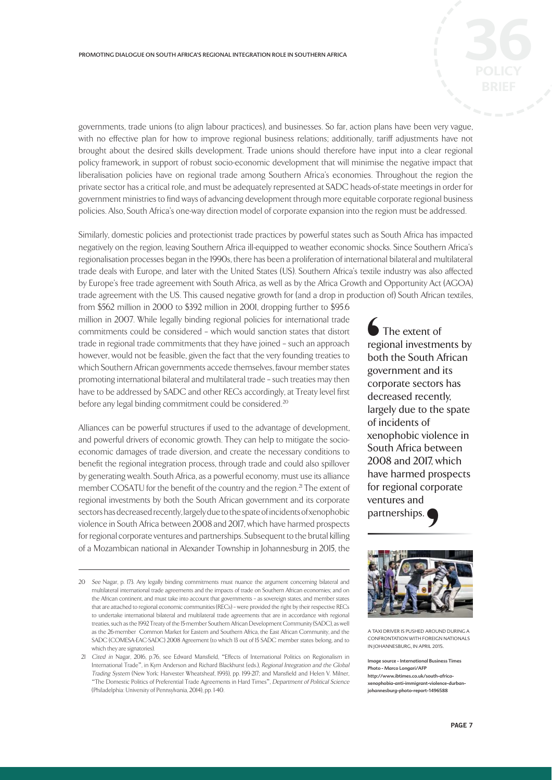governments, trade unions (to align labour practices), and businesses. So far, action plans have been very vague, with no effective plan for how to improve regional business relations; additionally, tariff adjustments have not brought about the desired skills development. Trade unions should therefore have input into a clear regional policy framework, in support of robust socio-economic development that will minimise the negative impact that liberalisation policies have on regional trade among Southern Africa's economies. Throughout the region the private sector has a critical role, and must be adequately represented at SADC heads-of-state meetings in order for government ministries to find ways of advancing development through more equitable corporate regional business policies. Also, South Africa's one-way direction model of corporate expansion into the region must be addressed.

Similarly, domestic policies and protectionist trade practices by powerful states such as South Africa has impacted negatively on the region, leaving Southern Africa ill-equipped to weather economic shocks. Since Southern Africa's regionalisation processes began in the 1990s, there has been a proliferation of international bilateral and multilateral trade deals with Europe, and later with the United States (US). Southern Africa's textile industry was also affected by Europe's free trade agreement with South Africa, as well as by the Africa Growth and Opportunity Act (AGOA) trade agreement with the US. This caused negative growth for (and a drop in production of) South African textiles,

from \$562 million in 2000 to \$392 million in 2001, dropping further to \$95.6 million in 2007. While legally binding regional policies for international trade commitments could be considered – which would sanction states that distort trade in regional trade commitments that they have joined – such an approach however, would not be feasible, given the fact that the very founding treaties to which Southern African governments accede themselves, favour member states promoting international bilateral and multilateral trade – such treaties may then have to be addressed by SADC and other RECs accordingly, at Treaty level first before any legal binding commitment could be considered.<sup>20</sup>

Alliances can be powerful structures if used to the advantage of development, and powerful drivers of economic growth. They can help to mitigate the socioeconomic damages of trade diversion, and create the necessary conditions to benefit the regional integration process, through trade and could also spillover by generating wealth. South Africa, as a powerful economy, must use its alliance member COSATU for the benefit of the country and the region.<sup>21</sup> The extent of regional investments by both the South African government and its corporate sectors has decreased recently, largely due to the spate of incidents of xenophobic violence in South Africa between 2008 and 2017, which have harmed prospects for regional corporate ventures and partnerships. Subsequent to the brutal killing of a Mozambican national in Alexander Township in Johannesburg in 2015, the

The extent of regional investments by both the South African government and its corporate sectors has decreased recently, largely due to the spate of incidents of xenophobic violence in South Africa between 2008 and 2017, which have harmed prospects for regional corporate ventures and partnerships. ∫<br>reg bot<br>gov cor dec<br>larg



A TAXI DRIVER IS PUSHED AROUND DURING A CONFRONTATION WITH FOREIGN NATIONALS IN JOHANNESBURG, IN APRIL 2015.

Image source - International Business Times Photo - Marco Longari/AFP http://www.ibtimes.co.uk/south-africaxenophobia-anti-immigrant-violence-durba johannesburg-photo-report-1496588

<sup>20</sup> See Nagar, p. 173. Any legally binding commitments must nuance the argument concerning bilateral and multilateral international trade agreements and the impacts of trade on Southern African economies; and on the African continent, and must take into account that governments – as sovereign states, and member states that are attached to regional economic communities (RECs) – were provided the right by their respective RECs to undertake international bilateral and multilateral trade agreements that are in accordance with regional treaties, such as the 1992 Treaty of the 15-member Southern African Development Community (SADC), as well as the 26-member Common Market for Eastern and Southern Africa, the East African Community, and the SADC (COMESA-EAC-SADC) 2008 Agreement (to which 13 out of 15 SADC member states belong, and to which they are signatories).

 <sup>21</sup> Cited in Nagar, 2016, p.76, see Edward Mansfield, "Effects of International Politics on Regionalism in International Trade", in Kym Anderson and Richard Blackhurst (eds.), Regional Integration and the Global Trading System (New York: Harvester Wheatsheaf, 1993), pp. 199-217; and Mansfield and Helen V. Milner, "The Domestic Politics of Preferential Trade Agreements in Hard Times", Department of Political Science (Philadelphia: University of Pennsylvania, 2014), pp. 1-40.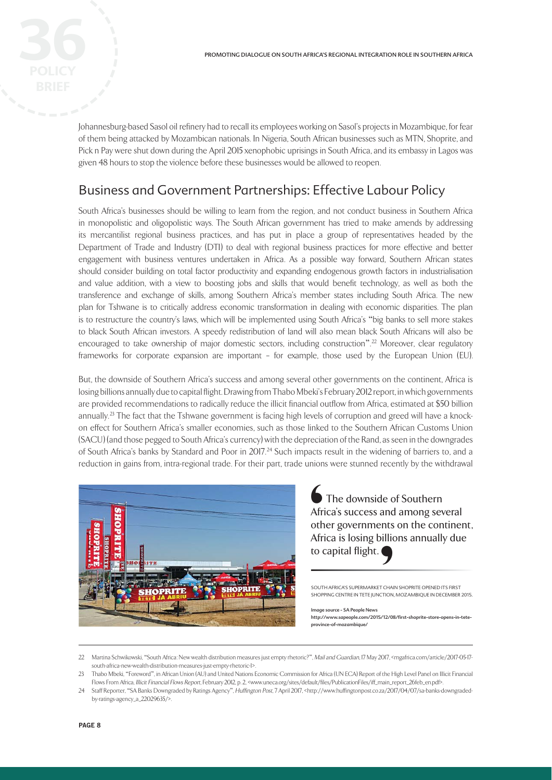Johannesburg-based Sasol oil refinery had to recall its employees working on Sasol's projects in Mozambique, for fear of them being attacked by Mozambican nationals. In Nigeria, South African businesses such as MTN, Shoprite, and Pick n Pay were shut down during the April 2015 xenophobic uprisings in South Africa, and its embassy in Lagos was given 48 hours to stop the violence before these businesses would be allowed to reopen.

### Business and Government Partnerships: Effective Labour Policy

South Africa's businesses should be willing to learn from the region, and not conduct business in Southern Africa in monopolistic and oligopolistic ways. The South African government has tried to make amends by addressing its mercantilist regional business practices, and has put in place a group of representatives headed by the Department of Trade and Industry (DTI) to deal with regional business practices for more effective and better engagement with business ventures undertaken in Africa. As a possible way forward, Southern African states should consider building on total factor productivity and expanding endogenous growth factors in industrialisation and value addition, with a view to boosting jobs and skills that would benefit technology, as well as both the transference and exchange of skills, among Southern Africa's member states including South Africa. The new plan for Tshwane is to critically address economic transformation in dealing with economic disparities. The plan is to restructure the country's laws, which will be implemented using South Africa's "big banks to sell more stakes to black South African investors. A speedy redistribution of land will also mean black South Africans will also be encouraged to take ownership of major domestic sectors, including construction". 22 Moreover, clear regulatory frameworks for corporate expansion are important – for example, those used by the European Union (EU).

But, the downside of Southern Africa's success and among several other governments on the continent, Africa is losing billions annually due to capital flight. Drawing from Thabo Mbeki's February 2012 report, in which governments are provided recommendations to radically reduce the illicit financial outflow from Africa, estimated at \$50 billion annually.<sup>23</sup> The fact that the Tshwane government is facing high levels of corruption and greed will have a knockon effect for Southern Africa's smaller economies, such as those linked to the Southern African Customs Union (SACU) (and those pegged to South Africa's currency) with the depreciation of the Rand, as seen in the downgrades of South Africa's banks by Standard and Poor in 2017.<sup>24</sup> Such impacts result in the widening of barriers to, and a reduction in gains from, intra-regional trade. For their part, trade unions were stunned recently by the withdrawal



The downside of Southern Africa's success and among several other governments on the continent, Africa is losing billions annually due to capital flight.  $A <sup>2</sup>  
Arfri  
to c  
■$ THAIR

SOUTH AFRICA'S SUPERMARKET CHAIN SHOPRITE OPENED ITS FIRST SHOPPING CENTRE IN TETE JUNCTION, MOZAMBIQUE IN DECEMBER 2015.

#### Image source - SA People News

http://www.sapeople.com/2015/12/08/fi rst-shoprite-store-opens-in-teteprovince-of-mozambique/

<sup>22</sup> Martina Schwikowski, "South Africa: New wealth distribution measures just empty rhetoric?", Mail and Guardian, 17 May 2017, <mgafrica.com/article/2017-05-17south-africa-new-wealth-distribution-measures-just-empty-rhetoric-1>.

<sup>23</sup> Thabo Mbeki, "Foreword", in African Union (AU) and United Nations Economic Commission for Africa (UN ECA) Report of the High Level Panel on Illicit Financial Flows From Africa, Illicit Financial Flows Report, February 2012, p. 2, <www.uneca.org/sites/default/files/PublicationFiles/iff\_main\_report\_26feb\_en.pdf>.

<sup>24</sup> Staff Reporter, "SA Banks Downgraded by Ratings Agency", Huffington Post, 7 April 2017, <http://www.huffingtonpost.co.za/2017/04/07/sa-banks-downgradedby-ratings-agency\_a\_22029635/>.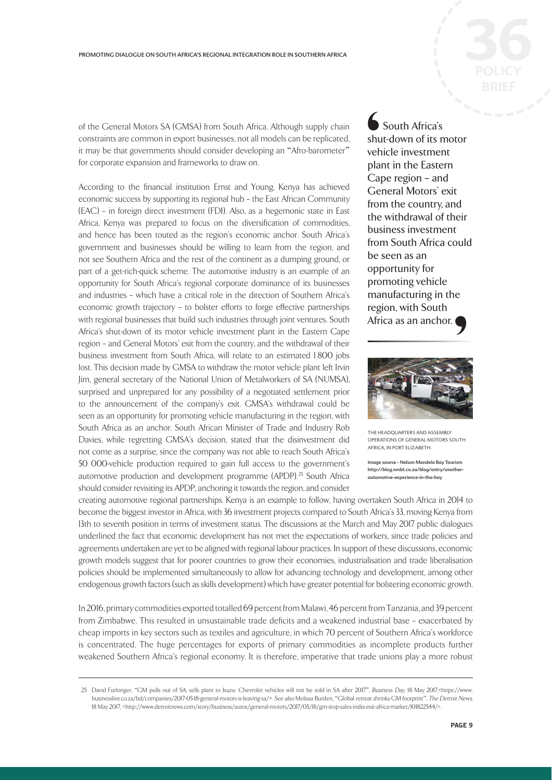of the General Motors SA (GMSA) from South Africa. Although supply chain constraints are common in export businesses, not all models can be replicated, it may be that governments should consider developing an "Afro-barometer" for corporate expansion and frameworks to draw on.

According to the financial institution Ernst and Young, Kenya has achieved economic success by supporting its regional hub – the East African Community (EAC) – in foreign direct investment (FDI). Also, as a hegemonic state in East Africa, Kenya was prepared to focus on the diversification of commodities, and hence has been touted as the region's economic anchor. South Africa's government and businesses should be willing to learn from the region, and not see Southern Africa and the rest of the continent as a dumping ground, or part of a get-rich-quick scheme. The automotive industry is an example of an opportunity for South Africa's regional corporate dominance of its businesses and industries – which have a critical role in the direction of Southern Africa's economic growth trajectory – to bolster efforts to forge effective partnerships with regional businesses that build such industries through joint ventures. South Africa's shut-down of its motor vehicle investment plant in the Eastern Cape region – and General Motors' exit from the country, and the withdrawal of their business investment from South Africa, will relate to an estimated 1 800 jobs lost. This decision made by GMSA to withdraw the motor vehicle plant left Irvin Jim, general secretary of the National Union of Metalworkers of SA (NUMSA), surprised and unprepared for any possibility of a negotiated settlement prior to the announcement of the company's exit. GMSA's withdrawal could be seen as an opportunity for promoting vehicle manufacturing in the region, with South Africa as an anchor. South African Minister of Trade and Industry Rob Davies, while regretting GMSA's decision, stated that the disinvestment did not come as a surprise, since the company was not able to reach South Africa's 50 000-vehicle production required to gain full access to the government's automotive production and development programme (APDP).<sup>25</sup> South Africa should consider revisiting its APDP, anchoring it towards the region, and consider

 South Africa's shut-down of its motor vehicle investment plant in the Eastern Cape region – and General Motors' exit from the country, and the withdrawal of their business investment from South Africa could be seen as an opportunity for promoting vehicle manufacturing in the region, with South Africa as an anchor. ∫<br>shu<br>veh<br>pla⊨<br>Ca<sub>l</sub><br>Ge fror



THE HEADQUARTERS AND ASSEMBLY OPERATIONS OF GENERAL MOTORS SOUTH AFRICA, IN PORT ELIZABETH.

Image source - Nelson Mandela Bay Tourism http://blog.nmbt.co.za/blog/entry/anotherautomotive-experience-in-the-bay

creating automotive regional partnerships. Kenya is an example to follow, having overtaken South Africa in 2014 to become the biggest investor in Africa, with 36 investment projects compared to South Africa's 33, moving Kenya from 13th to seventh position in terms of investment status. The discussions at the March and May 2017 public dialogues underlined the fact that economic development has not met the expectations of workers, since trade policies and agreements undertaken are yet to be aligned with regional labour practices. In support of these discussions, economic growth models suggest that for poorer countries to grow their economies, industrialisation and trade liberalisation policies should be implemented simultaneously to allow for advancing technology and development, among other endogenous growth factors (such as skills development) which have greater potential for bolstering economic growth.

In 2016, primary commodities exported totalled 69 percent from Malawi, 46 percent from Tanzania, and 39 percent from Zimbabwe. This resulted in unsustainable trade deficits and a weakened industrial base – exacerbated by cheap imports in key sectors such as textiles and agriculture, in which 70 percent of Southern Africa's workforce is concentrated. The huge percentages for exports of primary commodities as incomplete products further weakened Southern Africa's regional economy. It is therefore, imperative that trade unions play a more robust

<sup>25</sup> David Furlonger, "GM pulls out of SA, sells plant to Isuzu: Chevrolet vehicles will not be sold in SA after 2017", Business Day, 18 May 2017, <https://www. businesslive.co.za/bd/companies/2017-05-18-general-motors-is-leaving-sa/>. See also Melissa Burden, "Global retreat shrinks GM footprint", The Detroit News, 18 May 2017, <http://www.detroitnews.com/story/business/autos/general-motors/2017/05/18/gm-stop-sales-india-exit-africa-market/101822544/>.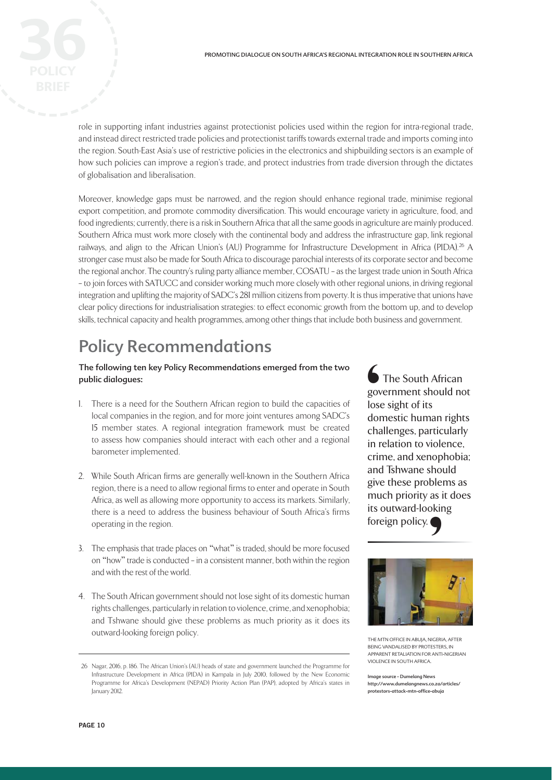role in supporting infant industries against protectionist policies used within the region for intra-regional trade, and instead direct restricted trade policies and protectionist tariffs towards external trade and imports coming into the region. South-East Asia's use of restrictive policies in the electronics and shipbuilding sectors is an example of how such policies can improve a region's trade, and protect industries from trade diversion through the dictates of globalisation and liberalisation.

Moreover, knowledge gaps must be narrowed, and the region should enhance regional trade, minimise regional export competition, and promote commodity diversification. This would encourage variety in agriculture, food, and food ingredients; currently, there is a risk in Southern Africa that all the same goods in agriculture are mainly produced. Southern Africa must work more closely with the continental body and address the infrastructure gap, link regional railways, and align to the African Union's (AU) Programme for Infrastructure Development in Africa (PIDA).<sup>26</sup> A stronger case must also be made for South Africa to discourage parochial interests of its corporate sector and become the regional anchor. The country's ruling party alliance member, COSATU – as the largest trade union in South Africa – to join forces with SATUCC and consider working much more closely with other regional unions, in driving regional integration and uplifting the majority of SADC's 281 million citizens from poverty. It is thus imperative that unions have clear policy directions for industrialisation strategies: to effect economic growth from the bottom up, and to develop skills, technical capacity and health programmes, among other things that include both business and government.

# Policy Recommendations

#### The following ten key Policy Recommendations emerged from the two public dialogues:

- 1. There is a need for the Southern African region to build the capacities of local companies in the region, and for more joint ventures among SADC's 15 member states. A regional integration framework must be created to assess how companies should interact with each other and a regional barometer implemented.
- 2. While South African firms are generally well-known in the Southern Africa region, there is a need to allow regional firms to enter and operate in South Africa, as well as allowing more opportunity to access its markets. Similarly, there is a need to address the business behaviour of South Africa's firms operating in the region.
- 3. The emphasis that trade places on "what" is traded, should be more focused on "how" trade is conducted – in a consistent manner, both within the region and with the rest of the world.
- 4. The South African government should not lose sight of its domestic human rights challenges, particularly in relation to violence, crime, and xenophobia; and Tshwane should give these problems as much priority as it does its outward-looking foreign policy.

 The South African government should not lose sight of its domestic human rights challenges, particularly in relation to violence, crime, and xenophobia; and Tshwane should give these problems as much priority as it does its outward-looking foreign policy. ●<br>gov<br>lose<br>dor<br>cha<br>in r<br>crir



THE MTN OFFICE IN ABUJA, NIGERIA, AFTER BEING VANDALISED BY PROTESTERS, IN APPARENT RETALIATION FOR ANTI-NIGERIAN VIOLENCE IN SOUTH AFRICA.

Image source - Dumelang News http://www.dumelangnews.co.za/articles/ protestors-attack-mtn-office-abuja

 <sup>26</sup> Nagar, 2016, p. 186. The African Union's (AU) heads of state and government launched the Programme for Infrastructure Development in Africa (PIDA) in Kampala in July 2010, followed by the New Economic Programme for Africa's Development (NEPAD) Priority Action Plan (PAP), adopted by Africa's states in January 2012.